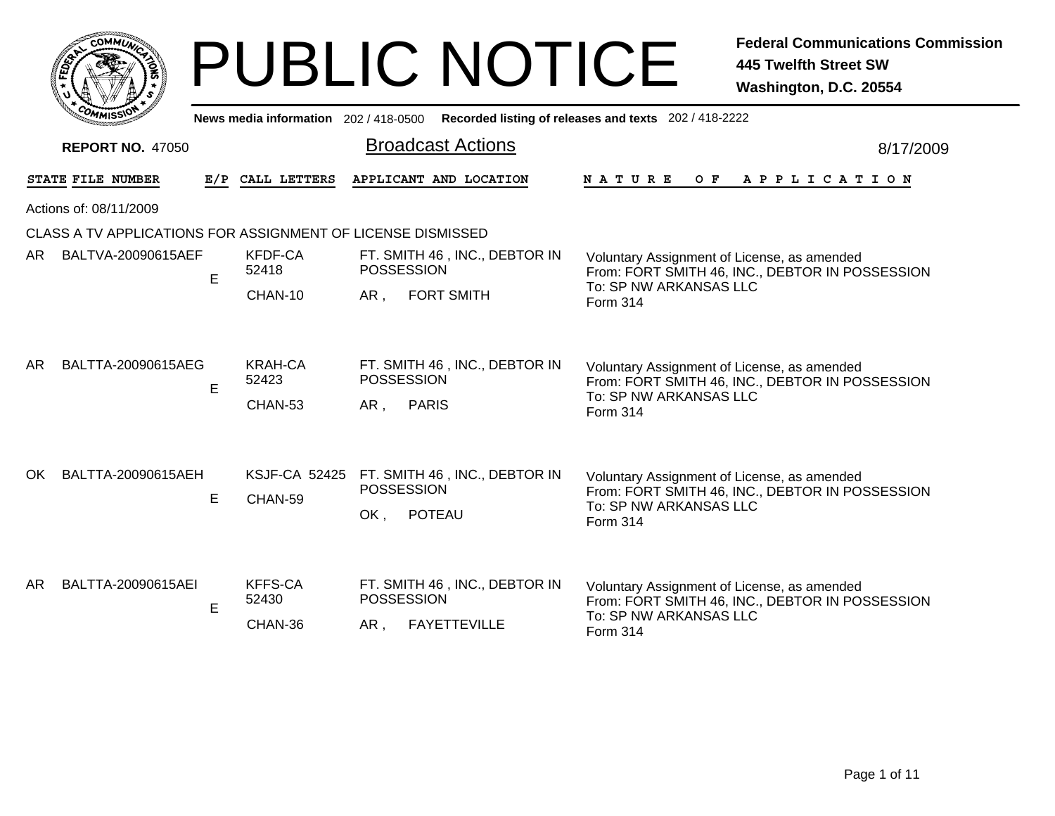|     |                 | <b>MMUNA</b><br>CO <sub>1</sub> | ¢. |        |
|-----|-----------------|---------------------------------|----|--------|
| ឆ្ន |                 |                                 |    | 2<br>磊 |
|     |                 |                                 |    |        |
|     | CO <sub>M</sub> | MISS <sup>\</sup><br>mua        |    |        |

|                                                     | ี~พพเร>ง<br>News media information 202/418-0500 Recorded listing of releases and texts 202/418-2222 |     |                                    |                          |                                                      |                                                                                                                                      |           |  |  |  |
|-----------------------------------------------------|-----------------------------------------------------------------------------------------------------|-----|------------------------------------|--------------------------|------------------------------------------------------|--------------------------------------------------------------------------------------------------------------------------------------|-----------|--|--|--|
| <b>Broadcast Actions</b><br><b>REPORT NO. 47050</b> |                                                                                                     |     |                                    |                          |                                                      |                                                                                                                                      | 8/17/2009 |  |  |  |
|                                                     | STATE FILE NUMBER                                                                                   | E/P | CALL LETTERS                       |                          | APPLICANT AND LOCATION                               | O F<br>N A T U R E<br>A P P L I C A T I O N                                                                                          |           |  |  |  |
|                                                     | Actions of: 08/11/2009                                                                              |     |                                    |                          |                                                      |                                                                                                                                      |           |  |  |  |
|                                                     | CLASS A TV APPLICATIONS FOR ASSIGNMENT OF LICENSE DISMISSED                                         |     |                                    |                          |                                                      |                                                                                                                                      |           |  |  |  |
| AR I                                                | BALTVA-20090615AEF                                                                                  | E   | <b>KFDF-CA</b><br>52418            | <b>POSSESSION</b>        | FT. SMITH 46, INC., DEBTOR IN                        | Voluntary Assignment of License, as amended<br>From: FORT SMITH 46, INC., DEBTOR IN POSSESSION                                       |           |  |  |  |
|                                                     |                                                                                                     |     | CHAN-10                            | AR.                      | <b>FORT SMITH</b>                                    | To: SP NW ARKANSAS LLC<br>Form 314                                                                                                   |           |  |  |  |
| AR.                                                 | BALTTA-20090615AEG                                                                                  | E   | KRAH-CA<br>52423<br>CHAN-53        | <b>POSSESSION</b><br>AR. | FT. SMITH 46, INC., DEBTOR IN<br><b>PARIS</b>        | Voluntary Assignment of License, as amended<br>From: FORT SMITH 46, INC., DEBTOR IN POSSESSION<br>To: SP NW ARKANSAS LLC<br>Form 314 |           |  |  |  |
| OK.                                                 | BALTTA-20090615AEH                                                                                  | E   | <b>KSJF-CA 52425</b><br>CHAN-59    | <b>POSSESSION</b><br>OK, | FT. SMITH 46, INC., DEBTOR IN<br><b>POTEAU</b>       | Voluntary Assignment of License, as amended<br>From: FORT SMITH 46, INC., DEBTOR IN POSSESSION<br>To: SP NW ARKANSAS LLC<br>Form 314 |           |  |  |  |
| AR.                                                 | BALTTA-20090615AEI                                                                                  | E   | <b>KFFS-CA</b><br>52430<br>CHAN-36 | POSSESSION<br>AR.        | FT. SMITH 46, INC., DEBTOR IN<br><b>FAYETTEVILLE</b> | Voluntary Assignment of License, as amended<br>From: FORT SMITH 46, INC., DEBTOR IN POSSESSION<br>To: SP NW ARKANSAS LLC<br>Form 314 |           |  |  |  |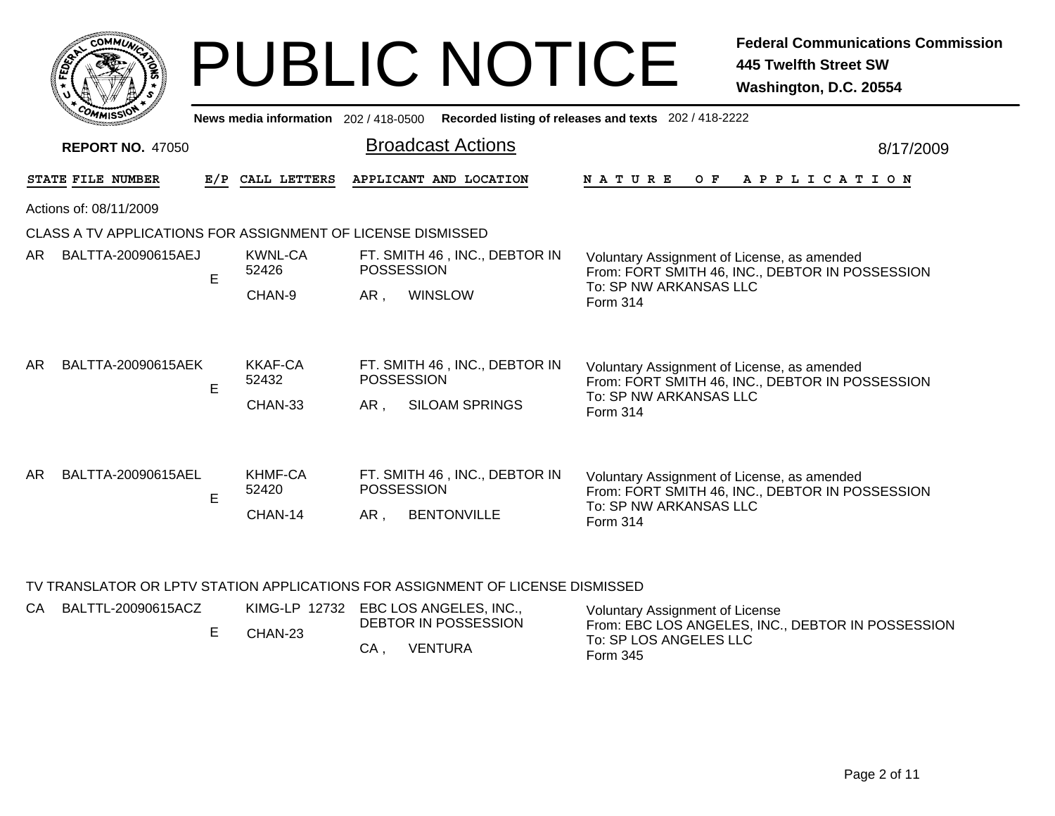|   | <b>MMUNA</b><br>O١<br>C. |                 |
|---|--------------------------|-----------------|
| Š |                          | c.<br>o<br>ट्टे |
|   |                          |                 |
|   | COM<br><b>MISS</b>       |                 |

|     | <b>EOMMISSION</b>       |     | News media information 202 / 418-0500 |                                                                                    | Recorded listing of releases and texts 202/418-2222                                                                                  |  |  |  |  |  |
|-----|-------------------------|-----|---------------------------------------|------------------------------------------------------------------------------------|--------------------------------------------------------------------------------------------------------------------------------------|--|--|--|--|--|
|     | <b>REPORT NO. 47050</b> |     |                                       | <b>Broadcast Actions</b>                                                           | 8/17/2009                                                                                                                            |  |  |  |  |  |
|     | STATE FILE NUMBER       | E/P | CALL LETTERS                          | APPLICANT AND LOCATION                                                             | O F<br>A P P L I C A T I O N<br><b>NATURE</b>                                                                                        |  |  |  |  |  |
|     | Actions of: 08/11/2009  |     |                                       |                                                                                    |                                                                                                                                      |  |  |  |  |  |
|     |                         |     |                                       | CLASS A TV APPLICATIONS FOR ASSIGNMENT OF LICENSE DISMISSED                        |                                                                                                                                      |  |  |  |  |  |
| AR. | BALTTA-20090615AEJ      | E   | KWNL-CA<br>52426                      | FT. SMITH 46, INC., DEBTOR IN<br><b>POSSESSION</b>                                 | Voluntary Assignment of License, as amended<br>From: FORT SMITH 46, INC., DEBTOR IN POSSESSION                                       |  |  |  |  |  |
|     |                         |     | CHAN-9                                | AR,<br><b>WINSLOW</b>                                                              | To: SP NW ARKANSAS LLC<br>Form 314                                                                                                   |  |  |  |  |  |
| AR. | BALTTA-20090615AEK      | E   | <b>KKAF-CA</b><br>52432<br>CHAN-33    | FT. SMITH 46, INC., DEBTOR IN<br><b>POSSESSION</b><br><b>SILOAM SPRINGS</b><br>AR, | Voluntary Assignment of License, as amended<br>From: FORT SMITH 46, INC., DEBTOR IN POSSESSION<br>To: SP NW ARKANSAS LLC<br>Form 314 |  |  |  |  |  |
| AR. | BALTTA-20090615AEL      | E   | KHMF-CA<br>52420<br>CHAN-14           | FT. SMITH 46, INC., DEBTOR IN<br>POSSESSION<br><b>BENTONVILLE</b><br>AR,           | Voluntary Assignment of License, as amended<br>From: FORT SMITH 46, INC., DEBTOR IN POSSESSION<br>To: SP NW ARKANSAS LLC<br>Form 314 |  |  |  |  |  |

### TV TRANSLATOR OR LPTV STATION APPLICATIONS FOR ASSIGNMENT OF LICENSE DISMISSED

| CA | BALTTL-20090615ACZ | CHAN-23 | KIMG-LP 12732 EBC LOS ANGELES, INC.,<br>DEBTOR IN POSSESSION | Voluntary Assignment of License<br>From: EBC LOS ANGELES, INC., DEBTOR IN POSSESSION |
|----|--------------------|---------|--------------------------------------------------------------|--------------------------------------------------------------------------------------|
|    |                    |         | <b>VENTURA</b><br>CA.                                        | To: SP LOS ANGELES LLC<br>Form 345                                                   |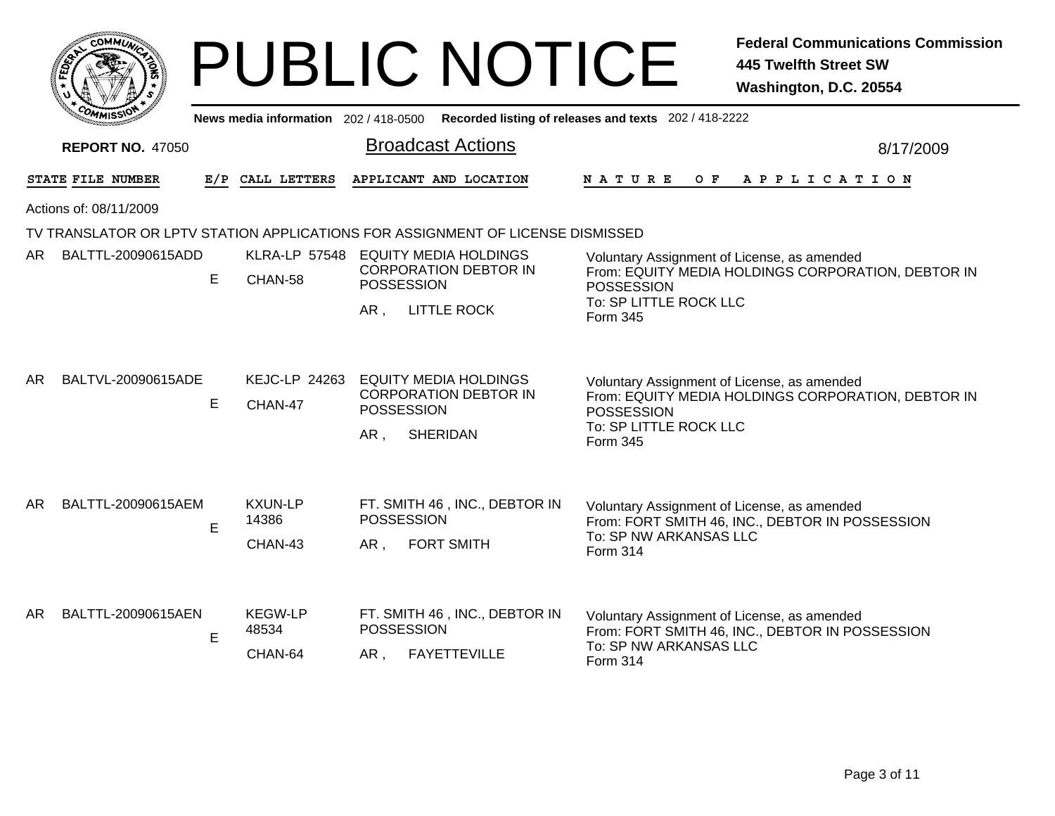|                          |                              |                         | <b>PUBLIC NOTICE</b>                                                                        | <b>Federal Communications Commission</b><br><b>445 Twelfth Street SW</b><br>Washington, D.C. 20554                     |
|--------------------------|------------------------------|-------------------------|---------------------------------------------------------------------------------------------|------------------------------------------------------------------------------------------------------------------------|
|                          |                              |                         | News media information 202 / 418-0500 Recorded listing of releases and texts 202 / 418-2222 |                                                                                                                        |
| <b>REPORT NO. 47050</b>  |                              |                         | <b>Broadcast Actions</b>                                                                    | 8/17/2009                                                                                                              |
| STATE FILE NUMBER        |                              | E/P CALL LETTERS        | APPLICANT AND LOCATION                                                                      | N A T U R E<br>O F<br>A P P L I C A T I O N                                                                            |
| Actions of: 08/11/2009   |                              |                         |                                                                                             |                                                                                                                        |
|                          |                              |                         | TV TRANSLATOR OR LPTV STATION APPLICATIONS FOR ASSIGNMENT OF LICENSE DISMISSED              |                                                                                                                        |
| BALTTL-20090615ADD<br>AR | E                            | CHAN-58                 | KLRA-LP 57548 EQUITY MEDIA HOLDINGS<br><b>CORPORATION DEBTOR IN</b><br><b>POSSESSION</b>    | Voluntary Assignment of License, as amended<br>From: EQUITY MEDIA HOLDINGS CORPORATION, DEBTOR IN<br><b>POSSESSION</b> |
|                          |                              |                         | AR,<br><b>LITTLE ROCK</b>                                                                   | To: SP LITTLE ROCK LLC<br>Form 345                                                                                     |
| AR<br>BALTVL-20090615ADE |                              |                         | KEJC-LP 24263 EQUITY MEDIA HOLDINGS                                                         | Voluntary Assignment of License, as amended                                                                            |
|                          | E                            | CHAN-47                 | <b>CORPORATION DEBTOR IN</b><br>POSSESSION                                                  | From: EQUITY MEDIA HOLDINGS CORPORATION, DEBTOR IN<br><b>POSSESSION</b>                                                |
|                          |                              |                         | AR,<br><b>SHERIDAN</b>                                                                      | To: SP LITTLE ROCK LLC<br>Form 345                                                                                     |
| AR<br>BALTTL-20090615AEM | E                            | <b>KXUN-LP</b><br>14386 | FT. SMITH 46, INC., DEBTOR IN<br><b>POSSESSION</b>                                          | Voluntary Assignment of License, as amended<br>From: FORT SMITH 46, INC., DEBTOR IN POSSESSION                         |
|                          |                              | CHAN-43                 | <b>FORT SMITH</b><br>AR,                                                                    | To: SP NW ARKANSAS LLC<br>Form 314                                                                                     |
| BALTTL-20090615AEN<br>AR | <b>KEGW-LP</b><br>48534<br>E |                         | FT. SMITH 46, INC., DEBTOR IN<br><b>POSSESSION</b>                                          | Voluntary Assignment of License, as amended<br>From: FORT SMITH 46, INC., DEBTOR IN POSSESSION                         |
|                          |                              | CHAN-64                 | FAYETTEVILLE<br>AR,                                                                         | To: SP NW ARKANSAS LLC<br>Form 314                                                                                     |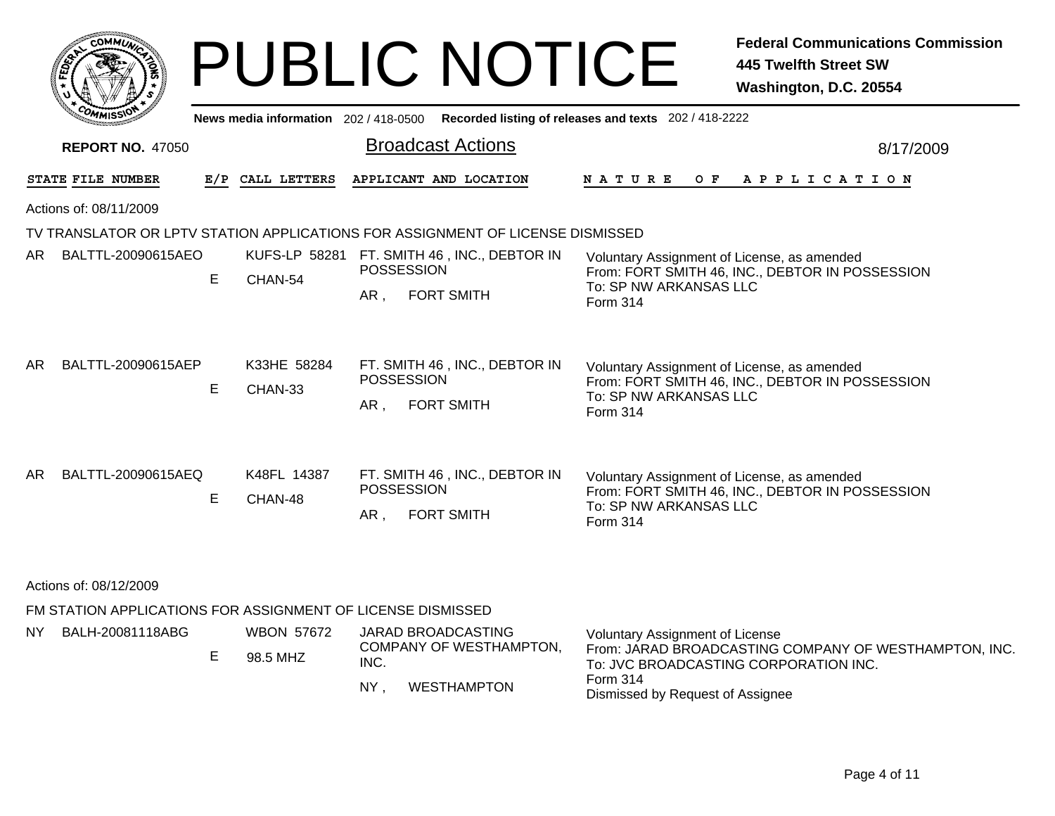|      | <b>COMMUT</b>                                               |     |                               | <b>PUBLIC NOTICE</b>                                                                        | <b>Federal Communications Commission</b><br><b>445 Twelfth Street SW</b><br>Washington, D.C. 20554                                       |
|------|-------------------------------------------------------------|-----|-------------------------------|---------------------------------------------------------------------------------------------|------------------------------------------------------------------------------------------------------------------------------------------|
|      |                                                             |     |                               | News media information 202 / 418-0500 Recorded listing of releases and texts 202 / 418-2222 |                                                                                                                                          |
|      | <b>REPORT NO. 47050</b>                                     |     |                               | <b>Broadcast Actions</b>                                                                    | 8/17/2009                                                                                                                                |
|      | STATE FILE NUMBER                                           | E/P | CALL LETTERS                  | APPLICANT AND LOCATION                                                                      | N A T U R E<br>O F<br>A P P L I C A T I O N                                                                                              |
|      | Actions of: 08/11/2009                                      |     |                               |                                                                                             |                                                                                                                                          |
|      |                                                             |     |                               | TV TRANSLATOR OR LPTV STATION APPLICATIONS FOR ASSIGNMENT OF LICENSE DISMISSED              |                                                                                                                                          |
| AR.  | BALTTL-20090615AEO                                          | E   | CHAN-54                       | KUFS-LP 58281 FT. SMITH 46, INC., DEBTOR IN<br>POSSESSION                                   | Voluntary Assignment of License, as amended<br>From: FORT SMITH 46, INC., DEBTOR IN POSSESSION                                           |
|      |                                                             |     |                               | AR,<br><b>FORT SMITH</b>                                                                    | To: SP NW ARKANSAS LLC<br>Form 314                                                                                                       |
| AR.  | BALTTL-20090615AEP                                          | E   | K33HE 58284<br>CHAN-33        | FT. SMITH 46, INC., DEBTOR IN<br>POSSESSION<br>AR,<br><b>FORT SMITH</b>                     | Voluntary Assignment of License, as amended<br>From: FORT SMITH 46, INC., DEBTOR IN POSSESSION<br>To: SP NW ARKANSAS LLC<br>Form 314     |
| AR.  | BALTTL-20090615AEQ                                          | E   | K48FL 14387<br>CHAN-48        | FT. SMITH 46, INC., DEBTOR IN<br><b>POSSESSION</b><br>AR,<br><b>FORT SMITH</b>              | Voluntary Assignment of License, as amended<br>From: FORT SMITH 46, INC., DEBTOR IN POSSESSION<br>To: SP NW ARKANSAS LLC<br>Form 314     |
|      | Actions of: 08/12/2009                                      |     |                               |                                                                                             |                                                                                                                                          |
|      | FM STATION APPLICATIONS FOR ASSIGNMENT OF LICENSE DISMISSED |     |                               |                                                                                             |                                                                                                                                          |
| NY - | BALH-20081118ABG                                            | E   | <b>WBON 57672</b><br>98.5 MHZ | <b>JARAD BROADCASTING</b><br>COMPANY OF WESTHAMPTON,<br>INC.                                | <b>Voluntary Assignment of License</b><br>From: JARAD BROADCASTING COMPANY OF WESTHAMPTON, INC.<br>To: JVC BROADCASTING CORPORATION INC. |
|      |                                                             |     |                               | <b>WESTHAMPTON</b><br>$NY$ ,                                                                | Form 314<br>Dismissed by Request of Assignee                                                                                             |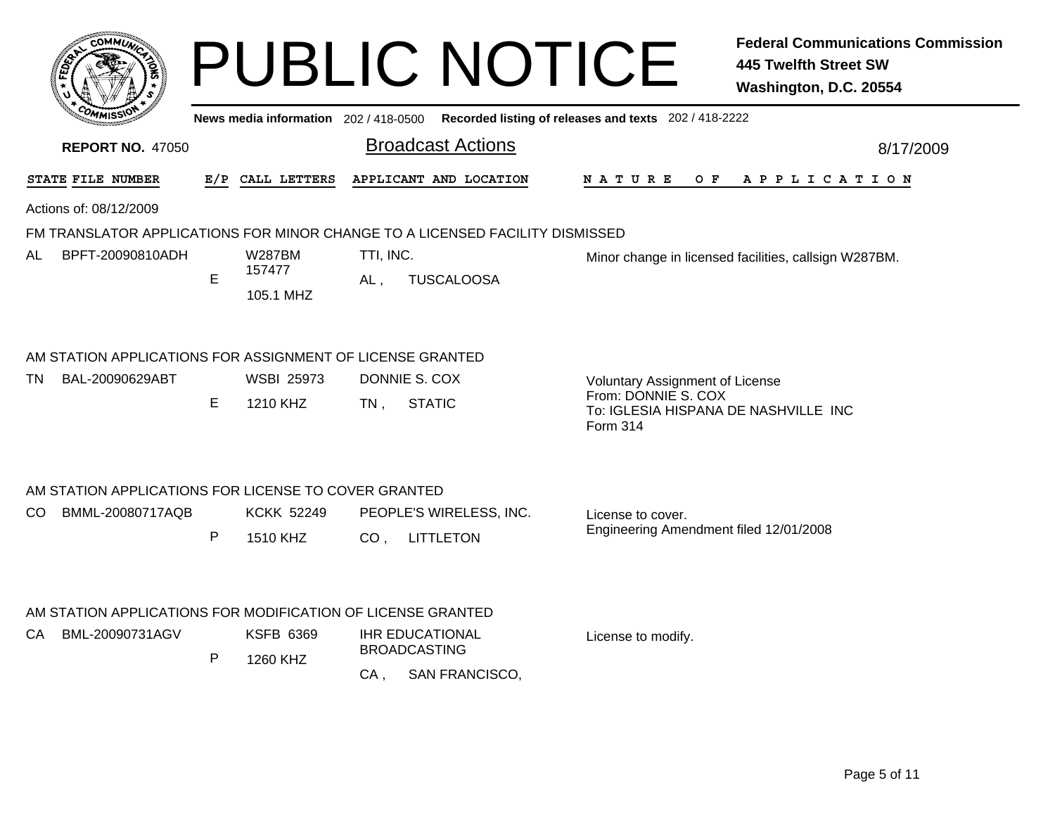| сомми                                                                        |     |                               |                     |                                               | <b>PUBLIC NOTICE</b>                                                                    | <b>Federal Communications Commission</b><br><b>445 Twelfth Street SW</b><br>Washington, D.C. 20554 |
|------------------------------------------------------------------------------|-----|-------------------------------|---------------------|-----------------------------------------------|-----------------------------------------------------------------------------------------|----------------------------------------------------------------------------------------------------|
|                                                                              |     |                               |                     |                                               | News media information 202/418-0500 Recorded listing of releases and texts 202/418-2222 |                                                                                                    |
| <b>REPORT NO. 47050</b>                                                      |     |                               |                     | <b>Broadcast Actions</b>                      |                                                                                         | 8/17/2009                                                                                          |
| STATE FILE NUMBER                                                            | E/P | CALL LETTERS                  |                     | APPLICANT AND LOCATION                        | N A T U R E<br>O F                                                                      | A P P L I C A T I O N                                                                              |
| Actions of: 08/12/2009                                                       |     |                               |                     |                                               |                                                                                         |                                                                                                    |
| FM TRANSLATOR APPLICATIONS FOR MINOR CHANGE TO A LICENSED FACILITY DISMISSED |     |                               |                     |                                               |                                                                                         |                                                                                                    |
| BPFT-20090810ADH<br>AL.                                                      | E   | W287BM<br>157477<br>105.1 MHZ | TTI, INC.<br>$AL$ . | <b>TUSCALOOSA</b>                             |                                                                                         | Minor change in licensed facilities, callsign W287BM.                                              |
| AM STATION APPLICATIONS FOR ASSIGNMENT OF LICENSE GRANTED                    |     |                               |                     |                                               |                                                                                         |                                                                                                    |
| BAL-20090629ABT<br>TN.                                                       | E   | <b>WSBI 25973</b><br>1210 KHZ | $TN$ ,              | DONNIE S. COX<br><b>STATIC</b>                | Voluntary Assignment of License<br>From: DONNIE S. COX<br>Form 314                      | To: IGLESIA HISPANA DE NASHVILLE INC                                                               |
| AM STATION APPLICATIONS FOR LICENSE TO COVER GRANTED                         |     |                               |                     |                                               |                                                                                         |                                                                                                    |
| BMML-20080717AQB<br>CO.                                                      |     | <b>KCKK 52249</b>             |                     | PEOPLE'S WIRELESS, INC.                       | License to cover.                                                                       |                                                                                                    |
|                                                                              | P   | 1510 KHZ                      | CO <sub>1</sub>     | <b>LITTLETON</b>                              |                                                                                         | Engineering Amendment filed 12/01/2008                                                             |
| AM STATION APPLICATIONS FOR MODIFICATION OF LICENSE GRANTED                  |     |                               |                     |                                               |                                                                                         |                                                                                                    |
| BML-20090731AGV<br>CA.                                                       |     | <b>KSFB 6369</b>              |                     | <b>IHR EDUCATIONAL</b><br><b>BROADCASTING</b> | License to modify.                                                                      |                                                                                                    |
|                                                                              | P   | 1260 KHZ                      | $CA$ ,              | SAN FRANCISCO,                                |                                                                                         |                                                                                                    |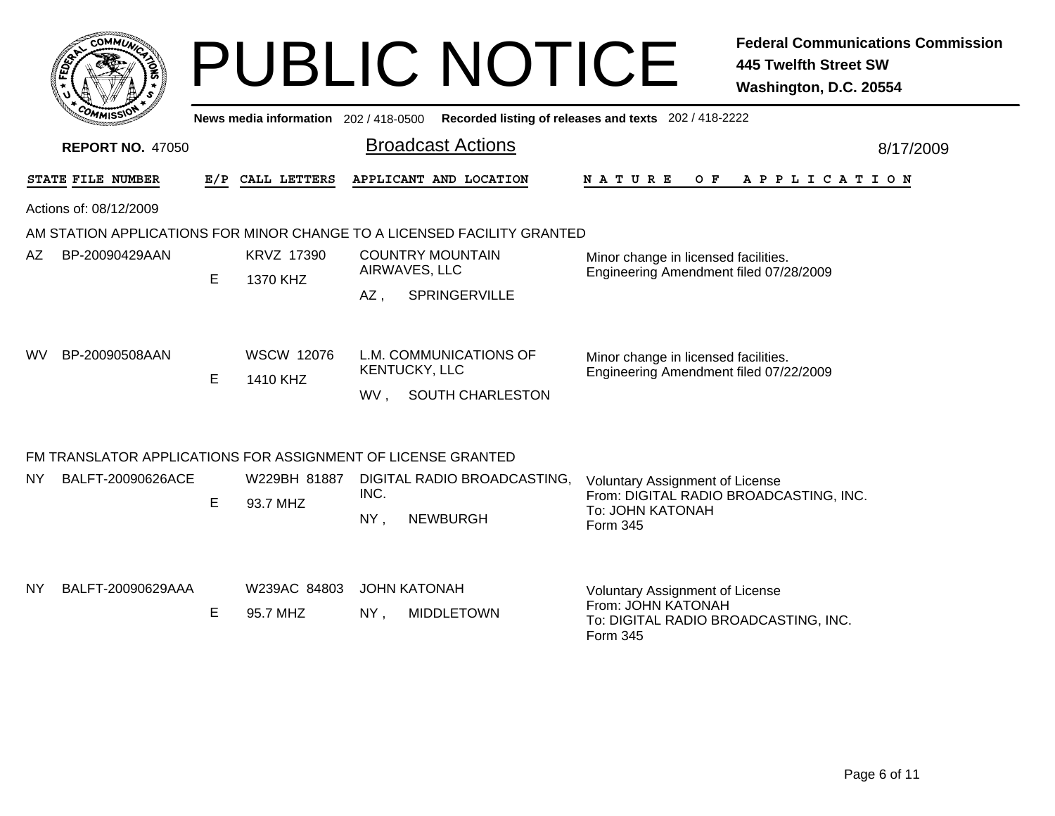| <b>COMMUT</b>           |     |                                     | <b>PUBLIC NOTICE</b>                                                    |                                                                                                           | <b>Federal Communications Commission</b><br><b>445 Twelfth Street SW</b><br>Washington, D.C. 20554 |
|-------------------------|-----|-------------------------------------|-------------------------------------------------------------------------|-----------------------------------------------------------------------------------------------------------|----------------------------------------------------------------------------------------------------|
|                         |     | News media information 202/418-0500 |                                                                         | Recorded listing of releases and texts 202 / 418-2222                                                     |                                                                                                    |
| <b>REPORT NO. 47050</b> |     |                                     | <b>Broadcast Actions</b>                                                |                                                                                                           | 8/17/2009                                                                                          |
| STATE FILE NUMBER       | E/P | CALL LETTERS                        | APPLICANT AND LOCATION                                                  | N A T U R E<br>O F                                                                                        | A P P L I C A T I O N                                                                              |
| Actions of: 08/12/2009  |     |                                     |                                                                         |                                                                                                           |                                                                                                    |
|                         |     |                                     | AM STATION APPLICATIONS FOR MINOR CHANGE TO A LICENSED FACILITY GRANTED |                                                                                                           |                                                                                                    |
| AZ<br>BP-20090429AAN    | E   | KRVZ 17390<br>1370 KHZ              | <b>COUNTRY MOUNTAIN</b><br>AIRWAVES, LLC<br>SPRINGERVILLE<br>AZ,        | Minor change in licensed facilities.<br>Engineering Amendment filed 07/28/2009                            |                                                                                                    |
| BP-20090508AAN<br>WV.   | E   | <b>WSCW 12076</b><br>1410 KHZ       | L.M. COMMUNICATIONS OF<br>KENTUCKY, LLC<br>SOUTH CHARLESTON<br>WV.      | Minor change in licensed facilities.<br>Engineering Amendment filed 07/22/2009                            |                                                                                                    |
|                         |     |                                     | FM TRANSLATOR APPLICATIONS FOR ASSIGNMENT OF LICENSE GRANTED            |                                                                                                           |                                                                                                    |
| NΥ<br>BALFT-20090626ACE | E   | W229BH 81887<br>93.7 MHZ            | DIGITAL RADIO BROADCASTING,<br>INC.<br>NY,<br><b>NEWBURGH</b>           | Voluntary Assignment of License<br>From: DIGITAL RADIO BROADCASTING, INC.<br>To: JOHN KATONAH<br>Form 345 |                                                                                                    |
| NY<br>BALFT-20090629AAA | E   | W239AC 84803<br>95.7 MHZ            | <b>JOHN KATONAH</b><br><b>MIDDLETOWN</b><br>$NY$ ,                      | Voluntary Assignment of License<br>From: JOHN KATONAH<br>To: DIGITAL RADIO BROADCASTING, INC.             |                                                                                                    |

Form 345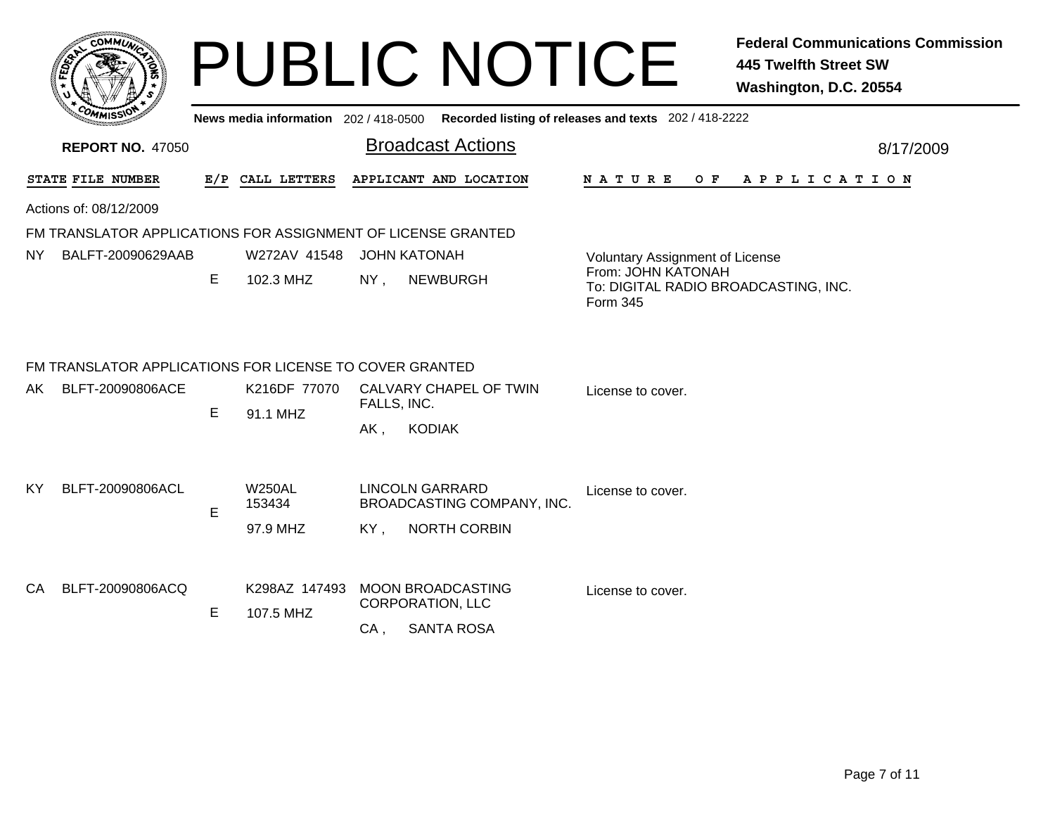|         | <b>MMUNI</b><br>$c_{\mathbf{O}}$ |    |
|---------|----------------------------------|----|
| Êç<br>c |                                  | ্ব |
|         |                                  |    |
|         | COM<br>MISS <sup>.</sup><br>---  |    |

**News media information** 202 / 418-0500**Recorded listing of releases and texts** 202 / 418-2222

| <b>REPORT NO. 47050</b> |                                                         |   |                                            | <b>Broadcast Actions</b>                                                 |                                                                        | 8/17/2009 |  |  |  |
|-------------------------|---------------------------------------------------------|---|--------------------------------------------|--------------------------------------------------------------------------|------------------------------------------------------------------------|-----------|--|--|--|
|                         | STATE FILE NUMBER                                       |   | E/P CALL LETTERS<br>APPLICANT AND LOCATION |                                                                          | N A T U R E<br>O F<br>A P P L I C A T I O N                            |           |  |  |  |
|                         | Actions of: 08/12/2009                                  |   |                                            |                                                                          |                                                                        |           |  |  |  |
|                         |                                                         |   |                                            | FM TRANSLATOR APPLICATIONS FOR ASSIGNMENT OF LICENSE GRANTED             |                                                                        |           |  |  |  |
| NY.                     | BALFT-20090629AAB                                       |   | W272AV 41548                               | <b>JOHN KATONAH</b>                                                      | Voluntary Assignment of License                                        |           |  |  |  |
|                         |                                                         | Е | 102.3 MHZ                                  | NY,<br><b>NEWBURGH</b>                                                   | From: JOHN KATONAH<br>To: DIGITAL RADIO BROADCASTING, INC.<br>Form 345 |           |  |  |  |
|                         | FM TRANSLATOR APPLICATIONS FOR LICENSE TO COVER GRANTED |   |                                            |                                                                          |                                                                        |           |  |  |  |
| AK.                     | BLFT-20090806ACE                                        |   | K216DF 77070                               | CALVARY CHAPEL OF TWIN<br>FALLS, INC.                                    | License to cover.                                                      |           |  |  |  |
|                         |                                                         | Е | 91.1 MHZ                                   | <b>KODIAK</b><br>$AK$ ,                                                  |                                                                        |           |  |  |  |
| KY                      | BLFT-20090806ACL                                        | E | <b>W250AL</b><br>153434                    | <b>LINCOLN GARRARD</b><br>BROADCASTING COMPANY, INC.                     | License to cover.                                                      |           |  |  |  |
|                         |                                                         |   | 97.9 MHZ                                   | <b>NORTH CORBIN</b><br>KY,                                               |                                                                        |           |  |  |  |
| CA.                     | BLFT-20090806ACQ                                        | Е | K298AZ 147493<br>107.5 MHZ                 | <b>MOON BROADCASTING</b><br>License to cover.<br><b>CORPORATION, LLC</b> |                                                                        |           |  |  |  |
|                         |                                                         |   |                                            | <b>SANTA ROSA</b><br>$CA$ ,                                              |                                                                        |           |  |  |  |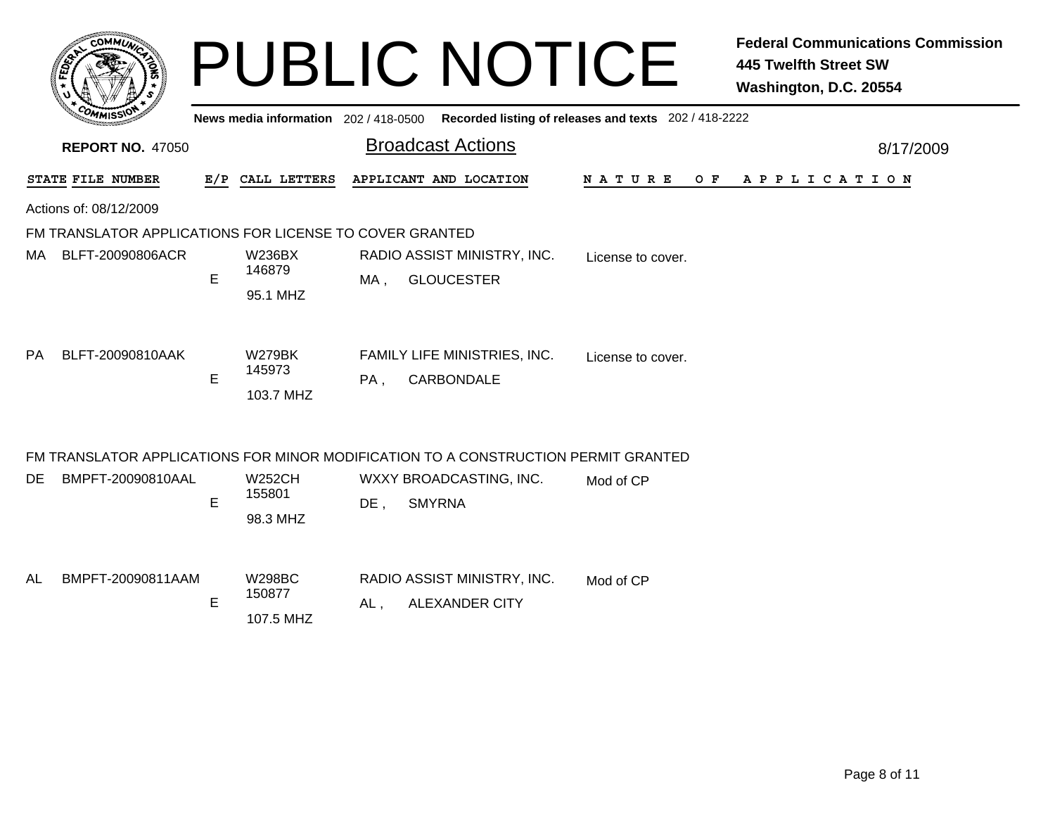| <b>COMM</b>                                                                                                    |     |                                      |     | <b>PUBLIC NOTICE</b>                                                                        |                   | <b>Federal Communications Commission</b><br><b>445 Twelfth Street SW</b><br>Washington, D.C. 20554 |
|----------------------------------------------------------------------------------------------------------------|-----|--------------------------------------|-----|---------------------------------------------------------------------------------------------|-------------------|----------------------------------------------------------------------------------------------------|
|                                                                                                                |     |                                      |     | News media information 202 / 418-0500 Recorded listing of releases and texts 202 / 418-2222 |                   |                                                                                                    |
| <b>REPORT NO. 47050</b>                                                                                        |     |                                      |     | <b>Broadcast Actions</b>                                                                    |                   | 8/17/2009                                                                                          |
| STATE FILE NUMBER                                                                                              | E/P | CALL LETTERS                         |     | APPLICANT AND LOCATION                                                                      | NATURE<br>$O$ $F$ | A P P L I C A T I O N                                                                              |
| Actions of: 08/12/2009                                                                                         |     |                                      |     |                                                                                             |                   |                                                                                                    |
| FM TRANSLATOR APPLICATIONS FOR LICENSE TO COVER GRANTED                                                        |     |                                      |     |                                                                                             |                   |                                                                                                    |
| BLFT-20090806ACR<br>MA.                                                                                        | E   | <b>W236BX</b><br>146879<br>95.1 MHZ  | MA, | RADIO ASSIST MINISTRY, INC.<br><b>GLOUCESTER</b>                                            | License to cover. |                                                                                                    |
| BLFT-20090810AAK<br>PA.                                                                                        | E   | <b>W279BK</b><br>145973<br>103.7 MHZ | PA, | FAMILY LIFE MINISTRIES, INC.<br>CARBONDALE                                                  | License to cover. |                                                                                                    |
|                                                                                                                |     |                                      |     |                                                                                             |                   |                                                                                                    |
| FM TRANSLATOR APPLICATIONS FOR MINOR MODIFICATION TO A CONSTRUCTION PERMIT GRANTED<br>DE.<br>BMPFT-20090810AAL | E   | <b>W252CH</b><br>155801<br>98.3 MHZ  | DE, | WXXY BROADCASTING, INC.<br><b>SMYRNA</b>                                                    | Mod of CP         |                                                                                                    |
| BMPFT-20090811AAM<br>AL                                                                                        | E   | <b>W298BC</b><br>150877<br>107.5 MHZ | AL, | RADIO ASSIST MINISTRY, INC.<br><b>ALEXANDER CITY</b>                                        | Mod of CP         |                                                                                                    |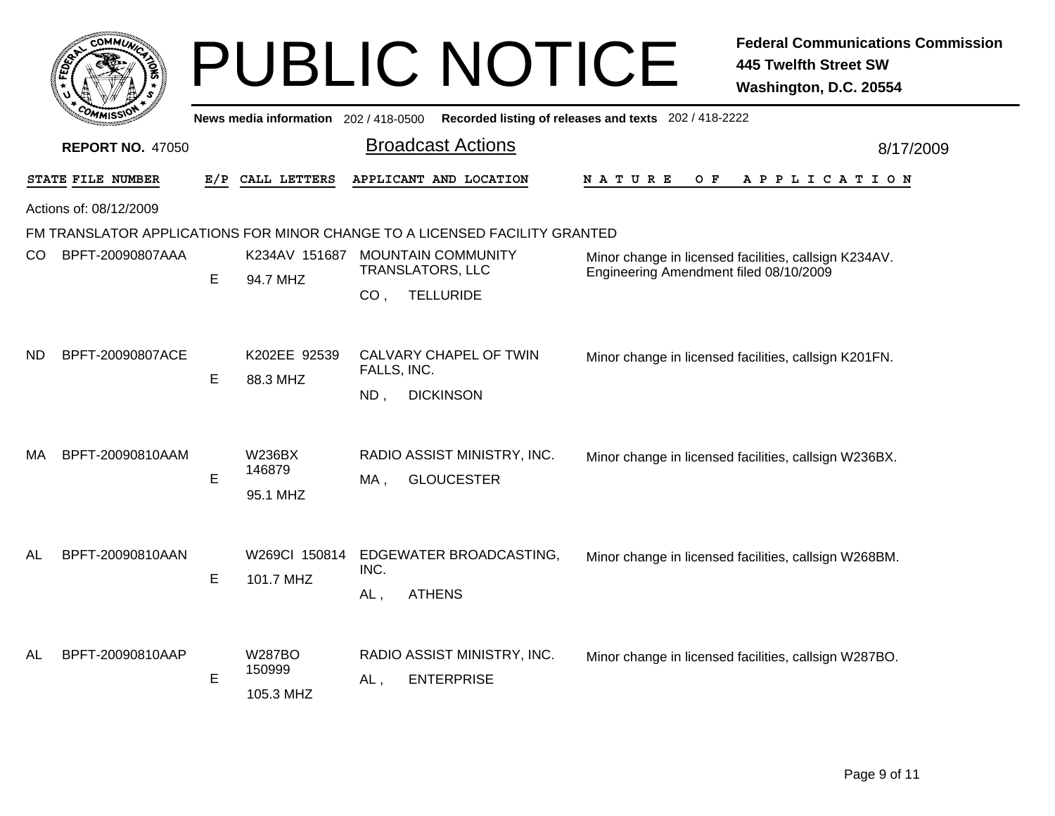|     |                         |     |                                       | <b>PUBLIC NOTICE</b>                                                                                                                                    |                                                       | <b>Federal Communications Commission</b><br><b>445 Twelfth Street SW</b><br>Washington, D.C. 20554 |
|-----|-------------------------|-----|---------------------------------------|---------------------------------------------------------------------------------------------------------------------------------------------------------|-------------------------------------------------------|----------------------------------------------------------------------------------------------------|
|     |                         |     | News media information $202/418-0500$ |                                                                                                                                                         | Recorded listing of releases and texts 202 / 418-2222 |                                                                                                    |
|     | <b>REPORT NO. 47050</b> |     |                                       | <b>Broadcast Actions</b>                                                                                                                                |                                                       | 8/17/2009                                                                                          |
|     | STATE FILE NUMBER       | E/P | CALL LETTERS                          | APPLICANT AND LOCATION                                                                                                                                  | N A T U R E<br>O F                                    | A P P L I C A T I O N                                                                              |
|     | Actions of: 08/12/2009  |     |                                       |                                                                                                                                                         |                                                       |                                                                                                    |
|     |                         |     |                                       | FM TRANSLATOR APPLICATIONS FOR MINOR CHANGE TO A LICENSED FACILITY GRANTED                                                                              |                                                       |                                                                                                    |
| CO. | BPFT-20090807AAA        | Е   | K234AV 151687<br>94.7 MHZ             | <b>MOUNTAIN COMMUNITY</b><br>Minor change in licensed facilities, callsign K234AV.<br><b>TRANSLATORS, LLC</b><br>Engineering Amendment filed 08/10/2009 |                                                       |                                                                                                    |
|     |                         |     |                                       | <b>TELLURIDE</b><br>CO <sub>1</sub>                                                                                                                     |                                                       |                                                                                                    |
| ND. | BPFT-20090807ACE        | Е   | K202EE 92539<br>88.3 MHZ              | CALVARY CHAPEL OF TWIN<br>FALLS, INC.<br><b>DICKINSON</b><br>ND,                                                                                        |                                                       | Minor change in licensed facilities, callsign K201FN.                                              |
| МA  | BPFT-20090810AAM        | E   | W236BX<br>146879<br>95.1 MHZ          | RADIO ASSIST MINISTRY, INC.<br><b>GLOUCESTER</b><br>MA .                                                                                                |                                                       | Minor change in licensed facilities, callsign W236BX.                                              |
| AL  | BPFT-20090810AAN        | Е   | W269Cl 150814<br>101.7 MHZ            | EDGEWATER BROADCASTING,<br>INC.<br><b>ATHENS</b><br>AL,                                                                                                 |                                                       | Minor change in licensed facilities, callsign W268BM.                                              |
| AL  | BPFT-20090810AAP        | E   | <b>W287BO</b><br>150999<br>105.3 MHZ  | RADIO ASSIST MINISTRY, INC.<br><b>ENTERPRISE</b><br>AL,                                                                                                 |                                                       | Minor change in licensed facilities, callsign W287BO.                                              |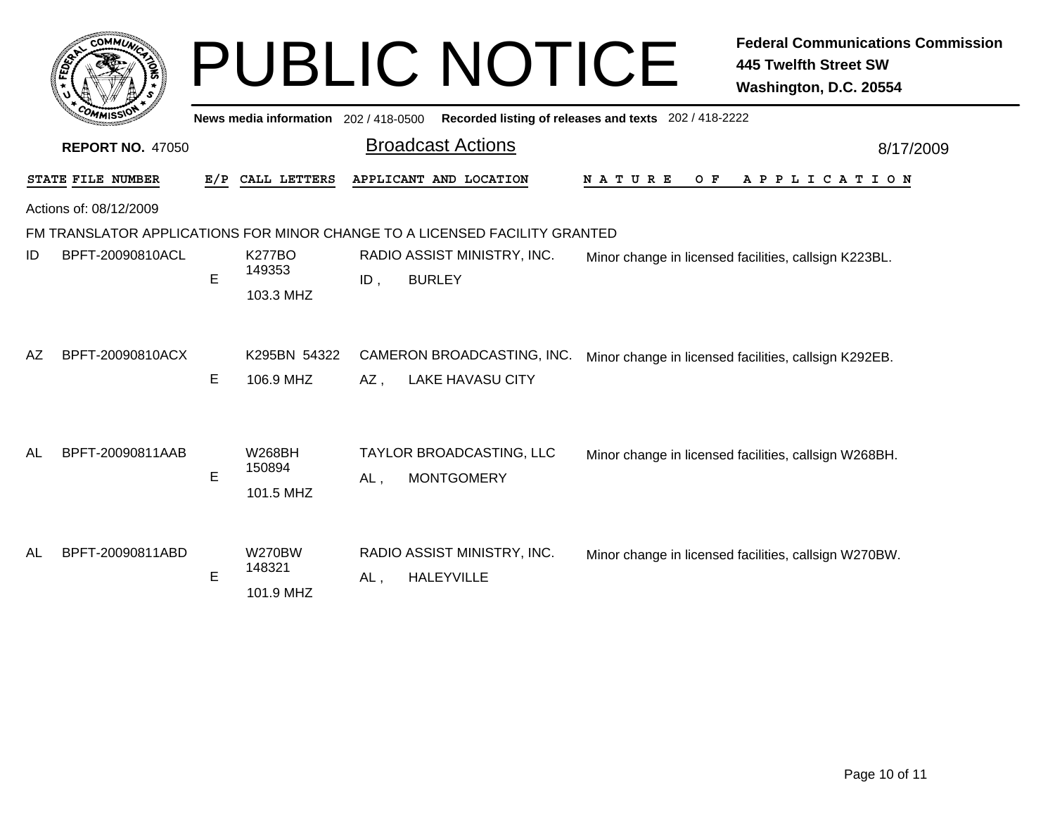|     | <b>COMMUT</b>           |                                     |                                      |     | <b>PUBLIC NOTICE</b>                                                       |                                                       | <b>Federal Communications Commission</b><br><b>445 Twelfth Street SW</b><br>Washington, D.C. 20554 |
|-----|-------------------------|-------------------------------------|--------------------------------------|-----|----------------------------------------------------------------------------|-------------------------------------------------------|----------------------------------------------------------------------------------------------------|
|     |                         | News media information 202/418-0500 |                                      |     |                                                                            | Recorded listing of releases and texts 202 / 418-2222 |                                                                                                    |
|     | <b>REPORT NO. 47050</b> |                                     |                                      |     | <b>Broadcast Actions</b>                                                   |                                                       | 8/17/2009                                                                                          |
|     | STATE FILE NUMBER       | E/P                                 | CALL LETTERS                         |     | APPLICANT AND LOCATION                                                     | <b>NATURE</b><br>O F                                  | A P P L I C A T I O N                                                                              |
|     | Actions of: 08/12/2009  |                                     |                                      |     |                                                                            |                                                       |                                                                                                    |
|     |                         |                                     |                                      |     | FM TRANSLATOR APPLICATIONS FOR MINOR CHANGE TO A LICENSED FACILITY GRANTED |                                                       |                                                                                                    |
| ID  | BPFT-20090810ACL        | E                                   | <b>K277BO</b><br>149353<br>103.3 MHZ | ID, | RADIO ASSIST MINISTRY, INC.<br><b>BURLEY</b>                               |                                                       | Minor change in licensed facilities, callsign K223BL.                                              |
| AZ. | BPFT-20090810ACX        | Е                                   | K295BN 54322<br>106.9 MHZ            | AZ, | CAMERON BROADCASTING, INC.<br><b>LAKE HAVASU CITY</b>                      |                                                       | Minor change in licensed facilities, callsign K292EB.                                              |
| AL  | BPFT-20090811AAB        | E                                   | <b>W268BH</b><br>150894<br>101.5 MHZ | AL, | TAYLOR BROADCASTING, LLC<br><b>MONTGOMERY</b>                              |                                                       | Minor change in licensed facilities, callsign W268BH.                                              |
| AL  | BPFT-20090811ABD        | E                                   | <b>W270BW</b><br>148321<br>101.9 MHZ | AL, | RADIO ASSIST MINISTRY, INC.<br><b>HALEYVILLE</b>                           |                                                       | Minor change in licensed facilities, callsign W270BW.                                              |